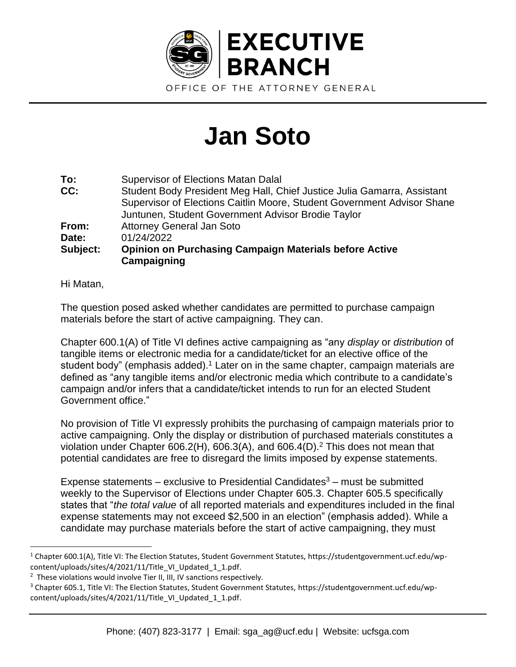

## **Jan Soto**

| <b>Supervisor of Elections Matan Dalal</b>                                   |
|------------------------------------------------------------------------------|
| Student Body President Meg Hall, Chief Justice Julia Gamarra, Assistant      |
| Supervisor of Elections Caitlin Moore, Student Government Advisor Shane      |
| Juntunen, Student Government Advisor Brodie Taylor                           |
| <b>Attorney General Jan Soto</b>                                             |
| 01/24/2022                                                                   |
| <b>Opinion on Purchasing Campaign Materials before Active</b><br>Campaigning |
|                                                                              |

Hi Matan,

The question posed asked whether candidates are permitted to purchase campaign materials before the start of active campaigning. They can.

Chapter 600.1(A) of Title VI defines active campaigning as "any *display* or *distribution* of tangible items or electronic media for a candidate/ticket for an elective office of the student body" (emphasis added).<sup>1</sup> Later on in the same chapter, campaign materials are defined as "any tangible items and/or electronic media which contribute to a candidate's campaign and/or infers that a candidate/ticket intends to run for an elected Student Government office."

No provision of Title VI expressly prohibits the purchasing of campaign materials prior to active campaigning. Only the display or distribution of purchased materials constitutes a violation under Chapter 606.2(H), 606.3(A), and 606.4(D).<sup>2</sup> This does not mean that potential candidates are free to disregard the limits imposed by expense statements.

Expense statements – exclusive to Presidential Candidates $3$  – must be submitted weekly to the Supervisor of Elections under Chapter 605.3. Chapter 605.5 specifically states that "*the total value* of all reported materials and expenditures included in the final expense statements may not exceed \$2,500 in an election" (emphasis added). While a candidate may purchase materials before the start of active campaigning, they must

<sup>&</sup>lt;sup>1</sup> Chapter 600.1(A), Title VI: The Election Statutes, Student Government Statutes, https://studentgovernment.ucf.edu/wpcontent/uploads/sites/4/2021/11/Title\_VI\_Updated\_1\_1.pdf.

<sup>&</sup>lt;sup>2</sup> These violations would involve Tier II, III, IV sanctions respectively.

<sup>&</sup>lt;sup>3</sup> Chapter 605.1, Title VI: The Election Statutes, Student Government Statutes, https://studentgovernment.ucf.edu/wpcontent/uploads/sites/4/2021/11/Title\_VI\_Updated\_1\_1.pdf.